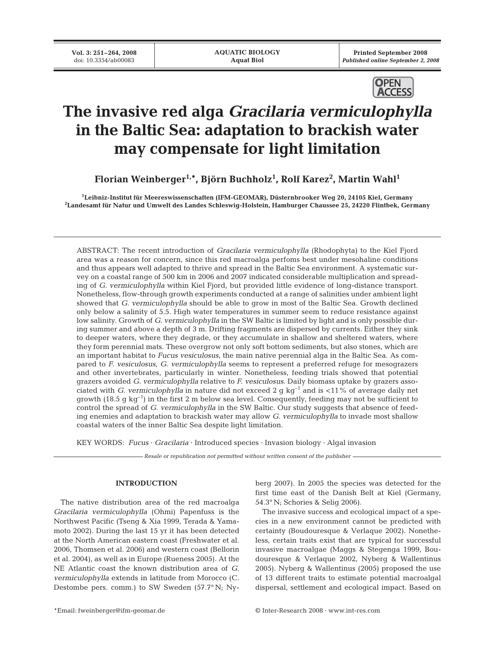**Printed September 2008**  *Published online September 2, 2008*



# **The invasive red alga** *Gracilaria vermiculophylla* **in the Baltic Sea: adaptation to brackish water may compensate for light limitation**

**Florian Weinberger1,\*, Björn Buchholz1 , Rolf Karez2 , Martin Wahl1**

**1 Leibniz-Institut für Meereswissenschaften (IFM-GEOMAR), Düsternbrooker Weg 20, 24105 Kiel, Germany 2 Landesamt für Natur und Umwelt des Landes Schleswig-Holstein, Hamburger Chaussee 25, 24220 Flintbek, Germany**

ABSTRACT: The recent introduction of *Gracilaria vermiculophylla* (Rhodophyta) to the Kiel Fjord area was a reason for concern, since this red macroalga perfoms best under mesohaline conditions and thus appears well adapted to thrive and spread in the Baltic Sea environment. A systematic survey on a coastal range of 500 km in 2006 and 2007 indicated considerable multiplication and spreading of *G. vermiculophylla* within Kiel Fjord, but provided little evidence of long-distance transport. Nonetheless, flow-through growth experiments conducted at a range of salinities under ambient light showed that *G. vermiculophylla* should be able to grow in most of the Baltic Sea. Growth declined only below a salinity of 5.5. High water temperatures in summer seem to reduce resistance against low salinity. Growth of *G. vermiculophylla* in the SW Baltic is limited by light and is only possible during summer and above a depth of 3 m. Drifting fragments are dispersed by currents. Either they sink to deeper waters, where they degrade, or they accumulate in shallow and sheltered waters, where they form perennial mats. These overgrow not only soft bottom sediments, but also stones, which are an important habitat to *Fucus vesiculosus*, the main native perennial alga in the Baltic Sea. As compared to *F. vesiculosus*, *G. vermiculophylla* seems to represent a preferred refuge for mesograzers and other invertebrates, particularly in winter. Nonetheless, feeding trials showed that potential grazers avoided *G. vermiculophylla* relative to *F. vesiculosus*. Daily biomass uptake by grazers associated with *G. vermiculophylla* in nature did not exceed 2 g kg<sup>-1</sup> and is <11% of average daily net growth (18.5 g kg<sup>-1</sup>) in the first 2 m below sea level. Consequently, feeding may not be sufficient to control the spread of *G. vermiculophylla* in the SW Baltic. Our study suggests that absence of feeding enemies and adaptation to brackish water may allow *G. vermiculophylla* to invade most shallow coastal waters of the inner Baltic Sea despite light limitation.

KEY WORDS: *Fucus* · *Gracilaria* · Introduced species · Invasion biology · Algal invasion

*Resale or republication not permitted without written consent of the publisher*

# **INTRODUCTION**

The native distribution area of the red macroalga *Gracilaria vermiculophylla* (Ohmi) Papenfuss is the Northwest Pacific (Tseng & Xia 1999, Terada & Yamamoto 2002). During the last 15 yr it has been detected at the North American eastern coast (Freshwater et al. 2006, Thomsen et al. 2006) and western coast (Bellorin et al. 2004), as well as in Europe (Rueness 2005). At the NE Atlantic coast the known distribution area of *G. vermiculophylla* extends in latitude from Morocco (C. Destombe pers. comm.) to SW Sweden (57.7° N; Nyberg 2007). In 2005 the species was detected for the first time east of the Danish Belt at Kiel (Germany, 54.3° N; Schories & Selig 2006).

The invasive success and ecological impact of a species in a new environment cannot be predicted with certainty (Boudouresque & Verlaque 2002). Nonetheless, certain traits exist that are typical for successful invasive macroalgae (Maggs & Stegenga 1999, Boudouresque & Verlaque 2002, Nyberg & Wallentinus 2005). Nyberg & Wallentinus (2005) proposed the use of 13 different traits to estimate potential macroalgal dispersal, settlement and ecological impact. Based on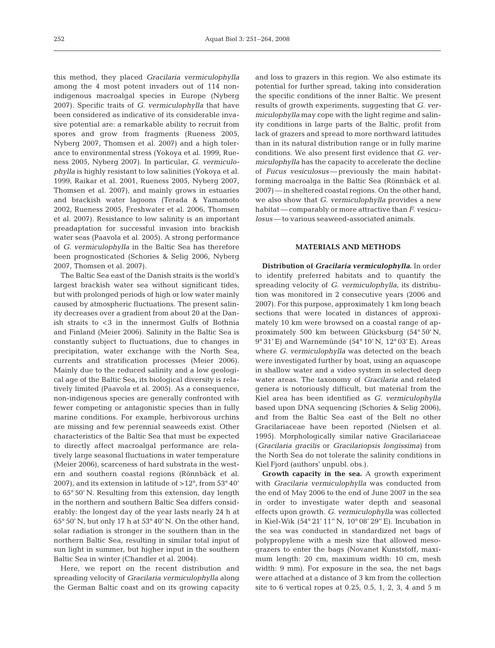this method, they placed *Gracilaria vermiculophylla* among the 4 most potent invaders out of 114 nonindigenous macroalgal species in Europe (Nyberg 2007). Specific traits of *G. vermiculophylla* that have been considered as indicative of its considerable invasive potential are: a remarkable ability to recruit from spores and grow from fragments (Rueness 2005, Nyberg 2007, Thomsen et al. 2007) and a high tolerance to environmental stress (Yokoya et al. 1999, Rueness 2005, Nyberg 2007). In particular, *G. vermiculophylla* is highly resistant to low salinities (Yokoya et al. 1999, Raikar et al. 2001, Rueness 2005, Nyberg 2007, Thomsen et al. 2007), and mainly grows in estuaries and brackish water lagoons (Terada & Yamamoto 2002, Rueness 2005, Freshwater et al. 2006, Thomsen et al. 2007). Resistance to low salinity is an important preadaptation for successful invasion into brackish water seas (Paavola et al. 2005). A strong performance of *G. vermiculophylla* in the Baltic Sea has therefore been prognosticated (Schories & Selig 2006, Nyberg 2007, Thomsen et al. 2007).

The Baltic Sea east of the Danish straits is the world's largest brackish water sea without significant tides, but with prolonged periods of high or low water mainly caused by atmospheric fluctuations. The present salinity decreases over a gradient from about 20 at the Danish straits to <3 in the innermost Gulfs of Bothnia and Finland (Meier 2006). Salinity in the Baltic Sea is constantly subject to fluctuations, due to changes in precipitation, water exchange with the North Sea, currents and stratification processes (Meier 2006). Mainly due to the reduced salinity and a low geological age of the Baltic Sea, its biological diversity is relatively limited (Paavola et al. 2005). As a consequence, non-indigenous species are generally confronted with fewer competing or antagonistic species than in fully marine conditions. For example, herbivorous urchins are missing and few perennial seaweeds exist. Other characteristics of the Baltic Sea that must be expected to directly affect macroalgal performance are relatively large seasonal fluctuations in water temperature (Meier 2006), scarceness of hard substrata in the western and southern coastal regions (Rönnbäck et al. 2007), and its extension in latitude of >12°, from 53° 40' to 65° 50' N. Resulting from this extension, day length in the northern and southern Baltic Sea differs considerably: the longest day of the year lasts nearly 24 h at 65° 50' N, but only 17 h at 53° 40' N. On the other hand, solar radiation is stronger in the southern than in the northern Baltic Sea, resulting in similar total input of sun light in summer, but higher input in the southern Baltic Sea in winter (Chandler et al. 2004).

Here, we report on the recent distribution and spreading velocity of *Gracilaria vermiculophylla* along the German Baltic coast and on its growing capacity and loss to grazers in this region. We also estimate its potential for further spread, taking into consideration the specific conditions of the inner Baltic. We present results of growth experiments, suggesting that *G. vermiculophylla* may cope with the light regime and salinity conditions in large parts of the Baltic, profit from lack of grazers and spread to more northward latitudes than in its natural distribution range or in fully marine conditions. We also present first evidence that *G. vermiculophylla* has the capacity to accelerate the decline of *Fucus vesiculosus*— previously the main habitatforming macroalga in the Baltic Sea (Rönnbäck et al. 2007) — in sheltered coastal regions. On the other hand, we also show that *G. vermiculophylla* provides a new habitat — comparably or more attractive than *F. vesiculosus* — to various seaweed-associated animals.

# **MATERIALS AND METHODS**

**Distribution of** *Gracilaria vermiculophylla***.** In order to identify preferred habitats and to quantify the spreading velocity of *G. vermiculophylla*, its distribution was monitored in 2 consecutive years (2006 and 2007). For this purpose, approximately 1 km long beach sections that were located in distances of approximately 10 km were browsed on a coastal range of approximately 500 km between Glücksburg (54° 50' N, 9° 31' E) and Warnemünde (54° 10' N, 12° 03' E). Areas where *G. vermiculophylla* was detected on the beach were investigated further by boat, using an aquascope in shallow water and a video system in selected deep water areas. The taxonomy of *Gracilaria* and related genera is notoriously difficult, but material from the Kiel area has been identified as *G. vermiculophylla* based upon DNA sequencing (Schories & Selig 2006), and from the Baltic Sea east of the Belt no other Gracilariaceae have been reported (Nielsen et al. 1995). Morphologically similar native Gracilariaceae (*Gracilaria gracilis* or *Gracilariopsis longissima)* from the North Sea do not tolerate the salinity conditions in Kiel Fjord (authors' unpubl. obs.).

**Growth capacity in the sea.** A growth experiment with *Gracilaria vermiculophylla* was conducted from the end of May 2006 to the end of June 2007 in the sea in order to investigate water depth and seasonal effects upon growth. *G. vermiculophylla* was collected in Kiel-Wik (54° 21' 11'' N, 10° 08' 29'' E). Incubation in the sea was conducted in standardized net bags of polypropylene with a mesh size that allowed mesograzers to enter the bags (Novanet Kunststoff, maximum length: 20 cm, maximum width: 10 cm, mesh width: 9 mm). For exposure in the sea, the net bags were attached at a distance of 3 km from the collection site to 6 vertical ropes at 0.25, 0.5, 1, 2, 3, 4 and 5 m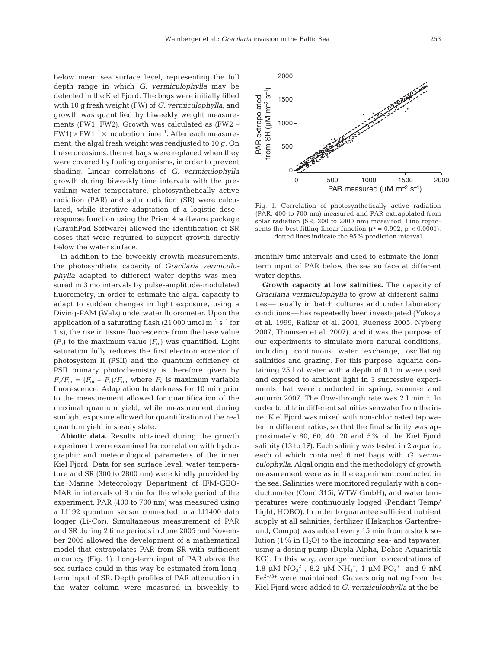below mean sea surface level, representing the full depth range in which *G. vermiculophylla* may be detected in the Kiel Fjord. The bags were initially filled with 10 g fresh weight (FW) of *G. vermiculophylla*, and growth was quantified by biweekly weight measurements (FW1, FW2). Growth was calculated as (FW2 –  $FW1 \times FW1^{-1} \times incubation time^{-1}$ . After each measurement, the algal fresh weight was readjusted to 10 g. On these occasions, the net bags were replaced when they were covered by fouling organisms, in order to prevent shading. Linear correlations of *G. vermiculophylla* growth during biweekly time intervals with the prevailing water temperature, photosynthetically active radiation (PAR) and solar radiation (SR) were calculated, while iterative adaptation of a logistic dose– response function using the Prism 4 software package (GraphPad Software) allowed the identification of SR doses that were required to support growth directly below the water surface.

In addition to the biweekly growth measurements, the photosynthetic capacity of *Gracilaria vermiculophylla* adapted to different water depths was measured in 3 mo intervals by pulse-amplitude-modulated fluorometry, in order to estimate the algal capacity to adapt to sudden changes in light exposure, using a Diving-PAM (Walz) underwater fluorometer. Upon the application of a saturating flash (21 000  $\mu$ mol m<sup>-2</sup> s<sup>-1</sup> for 1 s), the rise in tissue fluorescence from the base value  $(F<sub>o</sub>)$  to the maximum value  $(F<sub>m</sub>)$  was quantified. Light saturation fully reduces the first electron acceptor of photosystem II (PSII) and the quantum efficiency of PSII primary photochemistry is therefore given by  $F_{\rm v}/F_{\rm m} = (F_{\rm m} - F_{\rm o})/F_{\rm m}$ , where  $F_{\rm v}$  is maximum variable fluorescence. Adaptation to darkness for 10 min prior to the measurement allowed for quantification of the maximal quantum yield, while measurement during sunlight exposure allowed for quantification of the real quantum yield in steady state.

**Abiotic data.** Results obtained during the growth experiment were examined for correlation with hydrographic and meteorological parameters of the inner Kiel Fjord. Data for sea surface level, water temperature and SR (300 to 2800 nm) were kindly provided by the Marine Meteorology Department of IFM-GEO-MAR in intervals of 8 min for the whole period of the experiment. PAR (400 to 700 nm) was measured using a LI192 quantum sensor connected to a LI1400 data logger (Li-Cor). Simultaneous measurement of PAR and SR during 2 time periods in June 2005 and November 2005 allowed the development of a mathematical model that extrapolates PAR from SR with sufficient accuracy (Fig. 1). Long-term input of PAR above the sea surface could in this way be estimated from longterm input of SR. Depth profiles of PAR attenuation in the water column were measured in biweekly to



Fig. 1. Correlation of photosynthetically active radiation (PAR, 400 to 700 nm) measured and PAR extrapolated from solar radiation (SR, 300 to 2800 nm) measured. Line represents the best fitting linear function  $(r^2 = 0.992, p < 0.0001)$ , dotted lines indicate the 95% prediction interval

monthly time intervals and used to estimate the longterm input of PAR below the sea surface at different water depths.

**Growth capacity at low salinities.** The capacity of *Gracilaria vermiculophylla* to grow at different salinities — usually in batch cultures and under laboratory conditions — has repeatedly been investigated (Yokoya et al. 1999, Raikar et al. 2001, Rueness 2005, Nyberg 2007, Thomsen et al. 2007), and it was the purpose of our experiments to simulate more natural conditions, including continuous water exchange, oscillating salinities and grazing. For this purpose, aquaria containing 25 l of water with a depth of 0.1 m were used and exposed to ambient light in 3 successive experiments that were conducted in spring, summer and autumn 2007. The flow-through rate was  $2 \text{ l min}^{-1}$ . In order to obtain different salinities seawater from the inner Kiel Fjord was mixed with non-chlorinated tap water in different ratios, so that the final salinity was approximately 80, 60, 40, 20 and 5% of the Kiel Fjord salinity (13 to 17). Each salinity was tested in 2 aquaria, each of which contained 6 net bags with *G. vermiculophylla*. Algal origin and the methodology of growth measurement were as in the experiment conducted in the sea. Salinities were monitored regularly with a conductometer (Cond 315i, WTW GmbH), and water temperatures were continuously logged (Pendant Temp/ Light, HOBO). In order to guarantee sufficient nutrient supply at all salinities, fertilizer (Hakaphos Gartenfreund, Compo) was added every 15 min from a stock solution  $(1\% \text{ in } H_2O)$  to the incoming sea- and tapwater, using a dosing pump (Dupla Alpha, Dohse Aquaristik KG). In this way, average medium concentrations of 1.8 µM  $NO_3^2$ <sup>-</sup>, 8.2 µM  $NH_4^+$ , 1 µM  $PO_4^3$ <sup>-</sup> and 9 nM  $Fe<sup>2+/3+</sup>$  were maintained. Grazers originating from the Kiel Fjord were added to *G. vermiculophylla* at the be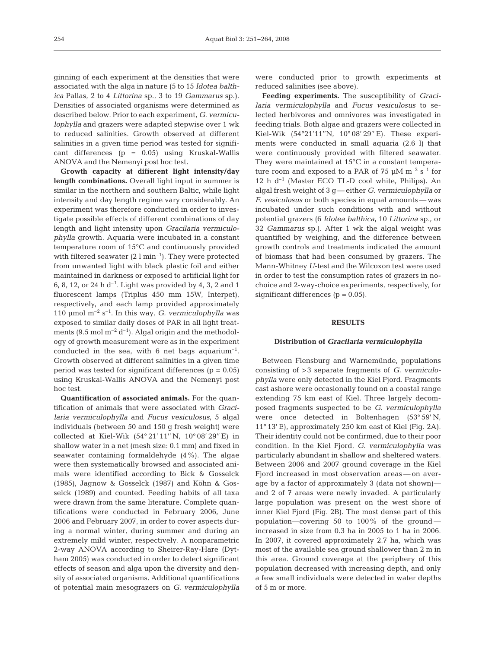ginning of each experiment at the densities that were associated with the alga in nature (5 to 15 *Idotea balthica* Pallas, 2 to 4 *Littorina* sp., 3 to 19 *Gammarus* sp.). Densities of associated organisms were determined as described below. Prior to each experiment, *G. vermiculophylla* and grazers were adapted stepwise over 1 wk to reduced salinities. Growth observed at different salinities in a given time period was tested for significant differences (p = 0.05) using Kruskal-Wallis ANOVA and the Nemenyi post hoc test.

**Growth capacity at different light intensity/day length combinations.** Overall light input in summer is similar in the northern and southern Baltic, while light intensity and day length regime vary considerably. An experiment was therefore conducted in order to investigate possible effects of different combinations of day length and light intensity upon *Gracilaria vermiculophylla* growth. Aquaria were incubated in a constant temperature room of 15°C and continuously provided with filtered seawater  $(2 \text{ l min}^{-1})$ . They were protected from unwanted light with black plastic foil and either maintained in darkness or exposed to artificial light for 6, 8, 12, or 24 h d<sup>-1</sup>. Light was provided by 4, 3, 2 and 1 fluorescent lamps (Triplus 450 mm 15W, Interpet), respectively, and each lamp provided approximately 110 µmol  $m^{-2}$  s<sup>-1</sup>. In this way, *G. vermiculophylla* was exposed to similar daily doses of PAR in all light treatments (9.5 mol  $m^{-2} d^{-1}$ ). Algal origin and the methodology of growth measurement were as in the experiment conducted in the sea, with 6 net bags aquarium<sup>-1</sup>. Growth observed at different salinities in a given time period was tested for significant differences ( $p = 0.05$ ) using Kruskal-Wallis ANOVA and the Nemenyi post hoc test.

**Quantification of associated animals.** For the quantification of animals that were associated with *Gracilaria vermiculophylla* and *Fucus vesiculosus*, 5 algal individuals (between 50 and 150 g fresh weight) were collected at Kiel-Wik (54° 21' 11'' N, 10° 08' 29'' E) in shallow water in a net (mesh size: 0.1 mm) and fixed in seawater containing formaldehyde (4%). The algae were then systematically browsed and associated animals were identified according to Bick & Gosselck (1985), Jagnow & Gosselck (1987) and Köhn & Gosselck (1989) and counted. Feeding habits of all taxa were drawn from the same literature. Complete quantifications were conducted in February 2006, June 2006 and February 2007, in order to cover aspects during a normal winter, during summer and during an extremely mild winter, respectively. A nonparametric 2-way ANOVA according to Sheirer-Ray-Hare (Dytham 2005) was conducted in order to detect significant effects of season and alga upon the diversity and density of associated organisms. Additional quantifications of potential main mesograzers on *G. vermiculophylla*

were conducted prior to growth experiments at reduced salinities (see above).

**Feeding experiments.** The susceptibility of *Gracilaria vermiculophylla* and *Fucus vesiculosus* to selected herbivores and omnivores was investigated in feeding trials. Both algae and grazers were collected in Kiel-Wik (54°21'11''N, 10° 08' 29'' E). These experiments were conducted in small aquaria (2.6 l) that were continuously provided with filtered seawater. They were maintained at 15°C in a constant temperature room and exposed to a PAR of 75  $\mu$ M m<sup>-2</sup> s<sup>-1</sup> for  $12$  h d<sup>-1</sup> (Master ECO TL-D cool white, Philips). An algal fresh weight of 3 g — either *G. vermiculophylla* or *F. vesiculosus* or both species in equal amounts — was incubated under such conditions with and without potential grazers (6 *Idotea balthica*, 10 *Littorina* sp., or 32 *Gammarus* sp.). After 1 wk the algal weight was quantified by weighing, and the difference between growth controls and treatments indicated the amount of biomass that had been consumed by grazers. The Mann-Whitney *U*-test and the Wilcoxon test were used in order to test the consumption rates of grazers in nochoice and 2-way-choice experiments, respectively, for significant differences  $(p = 0.05)$ .

### **RESULTS**

#### **Distribution of** *Gracilaria vermiculophylla*

Between Flensburg and Warnemünde, populations consisting of >3 separate fragments of *G. vermiculophylla* were only detected in the Kiel Fjord. Fragments cast ashore were occasionally found on a coastal range extending 75 km east of Kiel. Three largely decomposed fragments suspected to be *G. vermiculophylla* were once detected in Boltenhagen (53° 59' N, 11° 13' E), approximately 250 km east of Kiel (Fig. 2A). Their identity could not be confirmed, due to their poor condition. In the Kiel Fjord, *G. vermiculophylla* was particularly abundant in shallow and sheltered waters. Between 2006 and 2007 ground coverage in the Kiel Fjord increased in most observation areas — on average by a factor of approximately 3 (data not shown) and 2 of 7 areas were newly invaded. A particularly large population was present on the west shore of inner Kiel Fjord (Fig. 2B). The most dense part of this population—covering 50 to 100% of the ground increased in size from 0.3 ha in 2005 to 1 ha in 2006. In 2007, it covered approximately 2.7 ha, which was most of the available sea ground shallower than 2 m in this area. Ground coverage at the periphery of this population decreased with increasing depth, and only a few small individuals were detected in water depths of 5 m or more.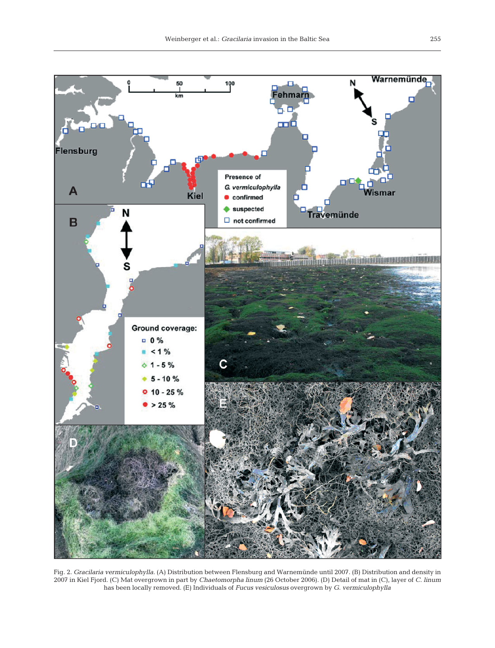

Fig. 2. *Gracilaria vermiculophylla.* (A) Distribution between Flensburg and Warnemünde until 2007. (B) Distribution and density in 2007 in Kiel Fjord. (C) Mat overgrown in part by *Chaetomorpha linum* (26 October 2006). (D) Detail of mat in (C), layer of *C. linum* has been locally removed. (E) Individuals of *Fucus vesiculosus* overgrown by *G. vermiculophylla*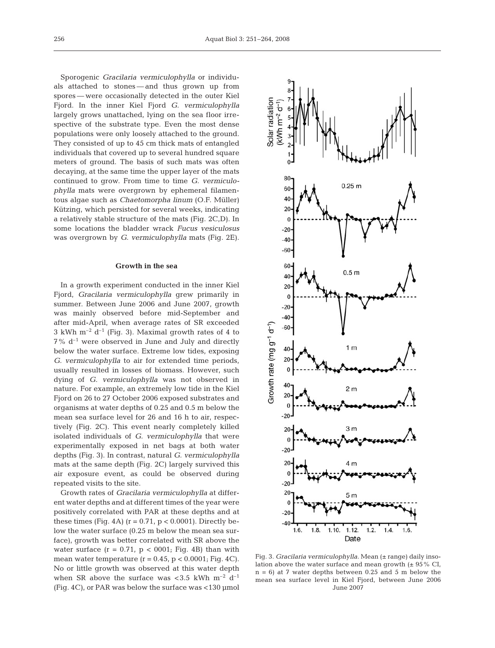Sporogenic *Gracilaria vermiculophylla* or individuals attached to stones — and thus grown up from spores — were occasionally detected in the outer Kiel Fjord. In the inner Kiel Fjord *G. vermiculophylla* largely grows unattached, lying on the sea floor irrespective of the substrate type. Even the most dense populations were only loosely attached to the ground. They consisted of up to 45 cm thick mats of entangled individuals that covered up to several hundred square meters of ground. The basis of such mats was often decaying, at the same time the upper layer of the mats continued to grow. From time to time *G. vermiculophylla* mats were overgrown by ephemeral filamentous algae such as *Chaetomorpha linum* (O.F. Müller) Kützing, which persisted for several weeks, indicating a relatively stable structure of the mats (Fig. 2C,D). In some locations the bladder wrack *Fucus vesiculosus* was overgrown by *G. vermiculophylla* mats (Fig. 2E).

#### **Growth in the sea**

In a growth experiment conducted in the inner Kiel Fjord, *Gracilaria vermiculophylla* grew primarily in summer. Between June 2006 and June 2007, growth was mainly observed before mid-September and after mid-April, when average rates of SR exceeded 3 kWh  $m^{-2}$  d<sup>-1</sup> (Fig. 3). Maximal growth rates of 4 to  $7\%$  d<sup>-1</sup> were observed in June and July and directly below the water surface. Extreme low tides, exposing *G. vermiculophylla* to air for extended time periods, usually resulted in losses of biomass. However, such dying of *G. vermiculophylla* was not observed in nature. For example, an extremely low tide in the Kiel Fjord on 26 to 27 October 2006 exposed substrates and organisms at water depths of 0.25 and 0.5 m below the mean sea surface level for 26 and 16 h to air, respectively (Fig. 2C). This event nearly completely killed isolated individuals of *G. vermiculophylla* that were experimentally exposed in net bags at both water depths (Fig. 3). In contrast, natural *G. vermiculophylla* mats at the same depth (Fig. 2C) largely survived this air exposure event, as could be observed during repeated visits to the site.

Growth rates of *Gracilaria vermiculophylla* at different water depths and at different times of the year were positively correlated with PAR at these depths and at these times (Fig. 4A) ( $r = 0.71$ ,  $p < 0.0001$ ). Directly below the water surface (0.25 m below the mean sea surface), growth was better correlated with SR above the water surface  $(r = 0.71, p < 0.001;$  Fig. 4B) than with mean water temperature  $(r = 0.45, p < 0.0001;$  Fig. 4C). No or little growth was observed at this water depth when SR above the surface was <3.5 kWh  $m^{-2}$  d<sup>-1</sup> (Fig. 4C), or PAR was below the surface was <130 µmol



Fig. 3. *Gracilaria vermiculophylla*. Mean ( $\pm$  range) daily insolation above the water surface and mean growth  $(\pm 95\% \text{ CI},$  $n = 6$ ) at 7 water depths between 0.25 and 5 m below the mean sea surface level in Kiel Fjord, between June 2006 June 2007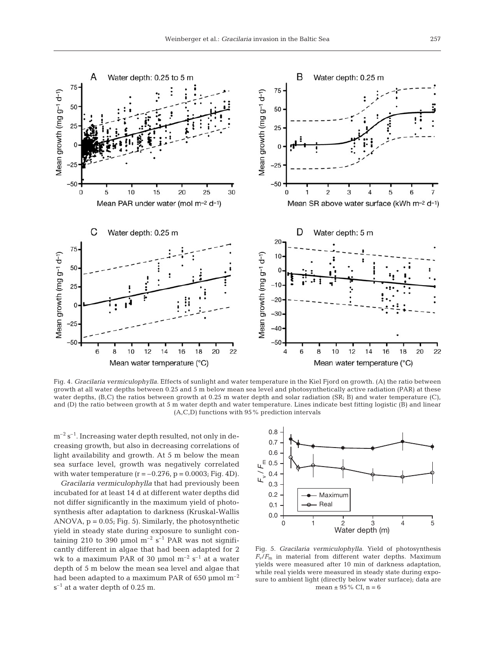

Fig. 4. *Gracilaria vermiculophylla*. Effects of sunlight and water temperature in the Kiel Fjord on growth. (A) the ratio between growth at all water depths between 0.25 and 5 m below mean sea level and photosynthetically active radiation (PAR) at these water depths, (B,C) the ratios between growth at 0.25 m water depth and solar radiation (SR; B) and water temperature (C), and (D) the ratio between growth at 5 m water depth and water temperature. Lines indicate best fitting logistic (B) and linear (A,C,D) functions with 95% prediction intervals

 $m^{-2}$  s<sup>-1</sup>. Increasing water depth resulted, not only in decreasing growth, but also in decreasing correlations of light availability and growth. At 5 m below the mean sea surface level, growth was negatively correlated with water temperature  $(r = -0.276, p = 0.0003; Fig. 4D)$ .

*Gracilaria vermiculophylla* that had previously been incubated for at least 14 d at different water depths did not differ significantly in the maximum yield of photosynthesis after adaptation to darkness (Kruskal-Wallis ANOVA,  $p = 0.05$ ; Fig. 5). Similarly, the photosynthetic yield in steady state during exposure to sunlight containing 210 to 390 µmol  $m^{-2}$  s<sup>-1</sup> PAR was not significantly different in algae that had been adapted for 2 wk to a maximum PAR of 30  $\mu$ mol m<sup>-2</sup> s<sup>-1</sup> at a water depth of 5 m below the mean sea level and algae that had been adapted to a maximum PAR of 650  $\mu$ mol m<sup>-2</sup>  $s^{-1}$  at a water depth of 0.25 m.



Fig. 5. *Gracilaria vermiculophylla*. Yield of photosynthesis  $F_{\rm v}/F_{\rm m}$  in material from different water depths. Maximum yields were measured after 10 min of darkness adaptation, while real yields were measured in steady state during exposure to ambient light (directly below water surface); data are mean  $\pm$  95% CI, n = 6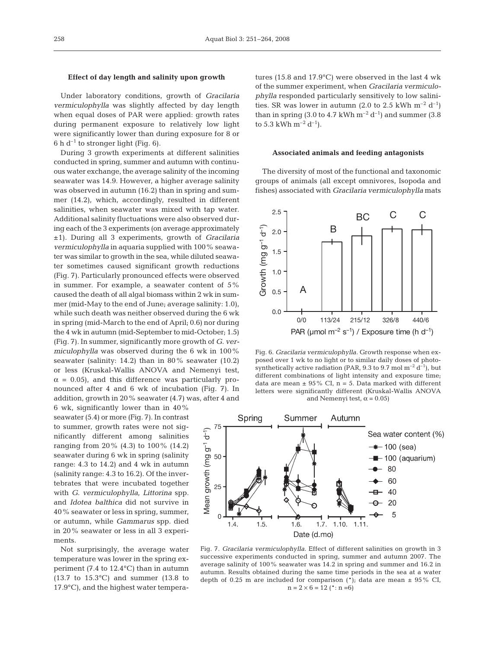## **Effect of day length and salinity upon growth**

Under laboratory conditions, growth of *Gracilaria vermiculophylla* was slightly affected by day length when equal doses of PAR were applied: growth rates during permanent exposure to relatively low light were significantly lower than during exposure for 8 or 6 h  $d^{-1}$  to stronger light (Fig. 6).

During 3 growth experiments at different salinities conducted in spring, summer and autumn with continuous water exchange, the average salinity of the incoming seawater was 14.9. However, a higher average salinity was observed in autumn (16.2) than in spring and summer (14.2), which, accordingly, resulted in different salinities, when seawater was mixed with tap water. Additional salinity fluctuations were also observed during each of the 3 experiments (on average approximately ±1). During all 3 experiments, growth of *Gracilaria vermiculophylla* in aquaria supplied with 100% seawater was similar to growth in the sea, while diluted seawater sometimes caused significant growth reductions (Fig. 7). Particularly pronounced effects were observed in summer. For example, a seawater content of 5% caused the death of all algal biomass within 2 wk in summer (mid-May to the end of June; average salinity: 1.0), while such death was neither observed during the 6 wk in spring (mid-March to the end of April; 0.6) nor during the 4 wk in autumn (mid-September to mid-October; 1.5) (Fig. 7). In summer, significantly more growth of *G. vermiculophylla* was observed during the 6 wk in 100% seawater (salinity: 14.2) than in 80% seawater (10.2) or less (Kruskal-Wallis ANOVA and Nemenyi test,  $\alpha$  = 0.05), and this difference was particularly pronounced after 4 and 6 wk of incubation (Fig. 7). In addition, growth in 20% seawater (4.7) was, after 4 and

6 wk, significantly lower than in 40% seawater (5.4) or more (Fig. 7). In contrast to summer, growth rates were not significantly different among salinities ranging from 20% (4.3) to 100% (14.2) seawater during 6 wk in spring (salinity range: 4.3 to 14.2) and 4 wk in autumn (salinity range: 4.3 to 16.2). Of the invertebrates that were incubated together with *G. vermiculophylla*, *Littorina* spp. and *Idotea balthica* did not survive in 40% seawater or less in spring, summer, or autumn, while *Gammarus* spp. died in 20% seawater or less in all 3 experiments.

Not surprisingly, the average water temperature was lower in the spring experiment (7.4 to 12.4°C) than in autumn (13.7 to 15.3°C) and summer (13.8 to 17.9°C), and the highest water temperatures (15.8 and 17.9°C) were observed in the last 4 wk of the summer experiment, when *Gracilaria vermiculophylla* responded particularly sensitively to low salinities. SR was lower in autumn (2.0 to 2.5 kWh  $m^{-2}$  d<sup>-1</sup>) than in spring (3.0 to 4.7 kWh  $m^{-2} d^{-1}$ ) and summer (3.8 to 5.3 kWh  $m^{-2}$  d<sup>-1</sup>).

#### **Associated animals and feeding antagonists**

The diversity of most of the functional and taxonomic groups of animals (all except omnivores, Isopoda and fishes) associated with *Gracilaria vermiculophylla* mats



Fig. 6. *Gracilaria vermiculophylla.* Growth response when exposed over 1 wk to no light or to similar daily doses of photosynthetically active radiation (PAR, 9.3 to 9.7 mol  $m^{-2} d^{-1}$ ), but different combinations of light intensity and exposure time; data are mean  $\pm$  95% CI, n = 5. Data marked with different letters were significantly different (Kruskal-Wallis ANOVA and Nemenyi test,  $\alpha = 0.05$ )



Fig. 7. *Gracilaria vermiculophylla.* Effect of different salinities on growth in 3 successive experiments conducted in spring, summer and autumn 2007. The average salinity of 100% seawater was 14.2 in spring and summer and 16.2 in autumn. Results obtained during the same time periods in the sea at a water depth of 0.25 m are included for comparison  $(*)$ ; data are mean  $\pm$  95% CI,  $n = 2 \times 6 = 12$  (\*: n =6)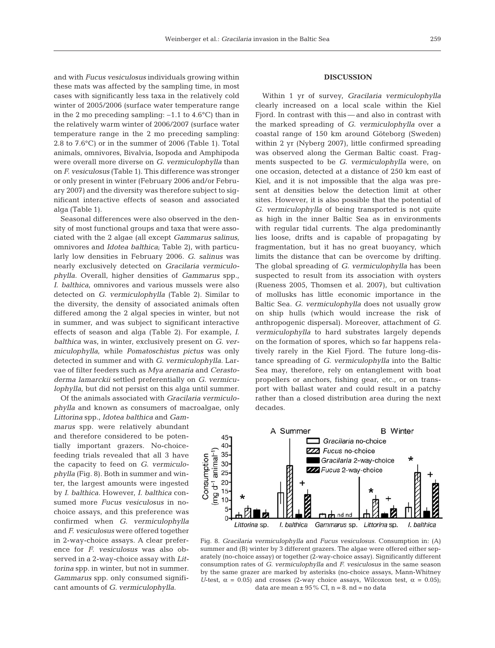and with *Fucus vesiculosus* individuals growing within these mats was affected by the sampling time, in most cases with significantly less taxa in the relatively cold winter of 2005/2006 (surface water temperature range in the 2 mo preceding sampling:  $-1.1$  to  $4.6^{\circ}$ C) than in the relatively warm winter of 2006/2007 (surface water temperature range in the 2 mo preceding sampling: 2.8 to 7.6°C) or in the summer of 2006 (Table 1). Total animals, omnivores, Bivalvia, Isopoda and Amphipoda were overall more diverse on *G. vermiculophylla* than on *F. vesiculosus* (Table 1). This difference was stronger or only present in winter (February 2006 and/or February 2007) and the diversity was therefore subject to significant interactive effects of season and associated alga (Table 1).

Seasonal differences were also observed in the density of most functional groups and taxa that were associated with the 2 algae (all except *Gammarus salinus*, omnivores and *Idotea balthica*; Table 2), with particularly low densities in February 2006. *G. salinus* was nearly exclusively detected on *Gracilaria vermiculophylla*. Overall, higher densities of *Gammarus* spp., *I. balthica*, omnivores and various mussels were also detected on *G. vermiculophylla* (Table 2). Similar to the diversity, the density of associated animals often differed among the 2 algal species in winter, but not in summer, and was subject to significant interactive effects of season and alga (Table 2). For example, *I. balthica* was, in winter, exclusively present on *G. vermiculophylla*, while *Pomatoschistus pictus* was only detected in summer and with *G. vermiculophylla*. Larvae of filter feeders such as *Mya arenaria* and *Cerastoderma lamarckii* settled preferentially on *G. vermiculophylla*, but did not persist on this alga until summer.

Of the animals associated with *Gracilaria vermiculophylla* and known as consumers of macroalgae, only

*Littorina* spp., *Idotea balthica* and *Gammarus* spp. were relatively abundant and therefore considered to be potentially important grazers. No-choicefeeding trials revealed that all 3 have the capacity to feed on *G. vermiculophylla* (Fig. 8). Both in summer and winter, the largest amounts were ingested by *I. balthica.* However, *I. balthica* consumed more *Fucus vesiculosus* in nochoice assays, and this preference was confirmed when *G. vermiculophylla* and *F. vesiculosus* were offered together in 2-way-choice assays. A clear preference for *F. vesiculosus* was also observed in a 2-way-choice assay with *Littorina* spp. in winter, but not in summer. *Gammarus* spp. only consumed significant amounts of *G. vermiculophylla*.

## **DISCUSSION**

Within 1 yr of survey, *Gracilaria vermiculophylla* clearly increased on a local scale within the Kiel Fjord. In contrast with this — and also in contrast with the marked spreading of *G. vermiculophylla* over a coastal range of 150 km around Göteborg (Sweden) within 2 yr (Nyberg 2007), little confirmed spreading was observed along the German Baltic coast. Fragments suspected to be *G. vermiculophylla* were, on one occasion, detected at a distance of 250 km east of Kiel, and it is not impossible that the alga was present at densities below the detection limit at other sites. However, it is also possible that the potential of *G. vermiculophylla* of being transported is not quite as high in the inner Baltic Sea as in environments with regular tidal currents. The alga predominantly lies loose, drifts and is capable of propagating by fragmentation, but it has no great buoyancy, which limits the distance that can be overcome by drifting. The global spreading of *G. vermiculophylla* has been suspected to result from its association with oysters (Rueness 2005, Thomsen et al. 2007), but cultivation of mollusks has little economic importance in the Baltic Sea. *G. vermiculophylla* does not usually grow on ship hulls (which would increase the risk of anthropogenic dispersal). Moreover, attachment of *G. vermiculophylla* to hard substrates largely depends on the formation of spores, which so far happens relatively rarely in the Kiel Fjord. The future long-distance spreading of *G. vermiculophylla* into the Baltic Sea may, therefore, rely on entanglement with boat propellers or anchors, fishing gear, etc., or on transport with ballast water and could result in a patchy rather than a closed distribution area during the next decades.



Fig. 8. *Gracilaria vermiculophylla* and *Fucus vesiculosus.* Consumption in: (A) summer and (B) winter by 3 different grazers. The algae were offered either separately (no-choice assay) or together (2-way-choice assay). Significantly different consumption rates of *G. vermiculophylla* and *F. vesiculosus* in the same season by the same grazer are marked by asterisks (no-choice assays, Mann-Whitney *U*-test,  $\alpha = 0.05$  and crosses (2-way choice assays, Wilcoxon test,  $\alpha = 0.05$ ); data are mean  $\pm$  95% CI, n = 8. nd = no data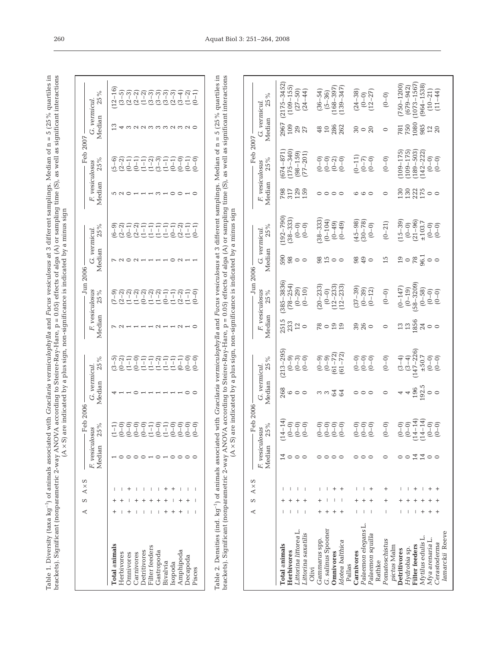| es in<br>Median of $n = 5$ (25 $\degree$                                                                     | $\sim$ $\sigma$ $\sigma$ $\sigma$ $\uparrow$<br>3<br>1)<br>23<br>23<br>$\frac{1}{1}$ ac $\frac{1}{1101}$                                                                                                   |                                                          |
|--------------------------------------------------------------------------------------------------------------|------------------------------------------------------------------------------------------------------------------------------------------------------------------------------------------------------------|----------------------------------------------------------|
| $+$ camplings $\lambda$<br>s differe<br>ulophylla and Fucus ve<br>d with Gi<br>¢<br>i<br>l<br>$\mathfrak{c}$ | (C) crementary<br>campling time is<br>$\overline{\phantom{a}}$<br>^ (- -) v に<br>.<br>Forte of alread.<br>በ በናነ አቶ<br>$ra. p = 0.00$<br>y-Hare, p<br>$\cdots$ Hare<br>$\frac{1}{2}$<br>E VI<br>ļ<br>J<br>ļ | r a minus sim<br>;<br>;<br>hissim non-<br>くっこく<br>i<br>١ |

| 25%<br>$(6 - 9)$<br>$(2 - 2)$<br>G. vermicul.<br>Median<br>$-$ Jun 2006 $-$<br>25%<br>$\begin{array}{c} 2 \overline{1} & 2 \overline{1} & 2 \overline{1} & 2 \overline{1} & 2 \overline{1} & 2 \overline{1} & 2 \overline{1} & 2 \overline{1} & 2 \overline{1} & 2 \overline{1} & 2 \overline{1} & 2 \overline{1} & 2 \overline{1} & 2 \overline{1} & 2 \overline{1} & 2 \overline{1} & 2 \overline{1} & 2 \overline{1} & 2 \overline{1} & 2 \overline{1} & 2 \overline{1} & 2 \overline{1} & 2 \overline{1} & 2 \overline{$<br>$(2-2)$<br>$(1-1)$<br>$(2 - 2)$<br>$(1 - 2)$<br>$(1 - 1)$<br>$(7-9)$ | Median | 25%<br>$\begin{array}{c} (1\!-\!3) \\ (3\!-\!1) \\ (1\!-\!1) \end{array}$<br>$(1-1)$<br>$(1-1)$<br>$(0-1)$<br>$(0-0)$<br>$(5 - 6)$<br>$(2-2)$<br>$(0-1)$<br>$(0 - 1)$<br>F. vesiculosus | $-$ Feb 2006<br>$S \times A \times S$<br>₫ | G. vermicul<br>F. vesiculosus | Median<br>25%<br>Median<br>25%<br>Median | $(3-5)$<br>Į<br><b>Total</b> animals | $(0 - 0)$ | $(0 - 0)$ | $(0 - 0)$ | $(0 - 0)$ | I<br>ilter feeders | $\begin{array}{l} 10000 \\[-4pt] 11000 \\[-4pt] 12000 \\[-4pt] 12000 \\[-4pt] 12000 \\[-4pt] 12000 \\[-4pt] 12000 \\[-4pt] 12000 \\[-4pt] 12000 \\[-4pt] 12000 \\[-4pt] 12000 \\[-4pt] 12000 \\[-4pt] 12000 \\[-4pt] 12000 \\[-4pt] 12000 \\[-4pt] 12000 \\[-4pt] 12000 \\[-4pt] 12000 \\[-4pt] 12000 \\[-4pt] 120$ |                      |           | Amphipoda | 210112111100<br>010111111000<br>01011111000 | $(0 - 0)$ |
|------------------------------------------------------------------------------------------------------------------------------------------------------------------------------------------------------------------------------------------------------------------------------------------------------------------------------------------------------------------------------------------------------------------------------------------------------------------------------------------------------------------------------------------------------------------------------------------------------|--------|-----------------------------------------------------------------------------------------------------------------------------------------------------------------------------------------|--------------------------------------------|-------------------------------|------------------------------------------|--------------------------------------|-----------|-----------|-----------|-----------|--------------------|---------------------------------------------------------------------------------------------------------------------------------------------------------------------------------------------------------------------------------------------------------------------------------------------------------------------|----------------------|-----------|-----------|---------------------------------------------|-----------|
|                                                                                                                                                                                                                                                                                                                                                                                                                                                                                                                                                                                                      |        | $(0 - 0)$                                                                                                                                                                               |                                            | F. vesiculosus                |                                          |                                      |           |           |           |           |                    |                                                                                                                                                                                                                                                                                                                     |                      |           |           |                                             | $(0 - 0)$ |
|                                                                                                                                                                                                                                                                                                                                                                                                                                                                                                                                                                                                      |        |                                                                                                                                                                                         |                                            |                               |                                          |                                      |           |           |           |           |                    |                                                                                                                                                                                                                                                                                                                     |                      |           |           |                                             |           |
|                                                                                                                                                                                                                                                                                                                                                                                                                                                                                                                                                                                                      |        |                                                                                                                                                                                         |                                            |                               |                                          |                                      |           |           |           |           |                    |                                                                                                                                                                                                                                                                                                                     |                      |           |           |                                             |           |
| G. vermicul.<br>Median<br>≌<br>2<br>S<br>¢<br>Ć<br>¢<br>$-$ Feb 2007 $-$                                                                                                                                                                                                                                                                                                                                                                                                                                                                                                                             |        |                                                                                                                                                                                         |                                            |                               | 25%                                      | $12 - 16$                            | $(3 - 5)$ | $(2 - 3)$ | $(2 - 2)$ | $(1 - 2)$ | $(3 - 3)$          | $-3$<br>മ                                                                                                                                                                                                                                                                                                           | $\overline{3}$<br>Ŝ. | $(2 - 3)$ |           | $(3-4)$<br>$(1-2)$                          | $(0-1)$   |

Table 2. Densities (ind.  $kg^{-1}$ ) of animals associated with *Gracilaria vermiculophylla* and Fucus vesiculosus at 3 different samplings. Median of  $n = 5$  (25% quartiles in brackets). Significant (nonparametric 2-way ANOVA brackets). Significant (nonparametric 2-way ANOVA according to Steirer-Ray-Hare, p = 0.05) effects of alga (A) or sampling time (S), as well as significant interactions Table 2. Densities (ind. kg–1) of animals associated with *Gracilaria vermiculophylla* and *Fucus vesiculosus* at 3 different samplings. Median of n = 5 (25% quartiles in  $(A \times S)$  are indicated by a plus sign, non-significance is indicated by a minus sign

|                                                                                                                                  |  | $S \times A \times S$ | F. vesiculosus<br>Median | $-$ Feb 2006<br>25%                                                    | G. vermicul.<br>Median     | 25%                                                   | Median                                                                                                                                                                                         | Jun 2006 -<br>F. vesiculosus<br>25%                                      | G. vermicul<br>Median | 25%                                                                   | Median              | Feb 2007<br>25 %<br>F. vesiculosus                                                | G. vernicul<br>Median                         | 25%                                                                                      |
|----------------------------------------------------------------------------------------------------------------------------------|--|-----------------------|--------------------------|------------------------------------------------------------------------|----------------------------|-------------------------------------------------------|------------------------------------------------------------------------------------------------------------------------------------------------------------------------------------------------|--------------------------------------------------------------------------|-----------------------|-----------------------------------------------------------------------|---------------------|-----------------------------------------------------------------------------------|-----------------------------------------------|------------------------------------------------------------------------------------------|
| Littorina littorea L<br>Littorina saxatilis<br>Total animals<br>Herbivores                                                       |  |                       |                          | $14 - 14$<br>-<br>이미<br>이민<br>이민                                       | 268<br>$\circ \circ \circ$ | $(213 - 295)$<br>$0 - 3 - 0$<br>$0 - 0 - 0$           | 2515<br>233<br>$^{12}_{10}$                                                                                                                                                                    | $(385 - 3836)$<br>$(78 - 254)$<br>$(0-29)$<br>$(0-10)$                   | 590<br>98<br>$\circ$  | $(192 - 790)$<br>$38 - 333$<br>$0 - 0$<br>$0 - 0$                     | 798<br>3129<br>159  | $\begin{array}{c} (674-871) \\ (175-340) \\ (98-159) \end{array}$<br>$(77 - 201)$ | 2967<br>109<br>29                             | $(2175 - 3452)$<br>$(109 - 155)$<br>$(27 - 50)$<br>$(24 - 44)$                           |
| G. salinus Spooner<br>Gammarus spp.<br>Idotea balthica<br>Omnivores<br>Olivi                                                     |  |                       |                          | $(0 - 0)$<br>$(0 - 0)$<br>$(0 - 0)$<br>$(0 - 0)$                       | 64<br>ా డ<br>3             | $(0-9)$<br>$(61-72)$<br>$(61-72)$<br>$(0 - 9)$        | $\frac{6}{5}$<br>19                                                                                                                                                                            | $20 - 233$<br>$12 - 233$<br>$12 - 233$<br>$(0 - 0)$                      | 98<br>$15$ 0          | $38 - 333$<br>$(0 - 104)$<br>$(0 - 49)$<br>$(0-49)$                   | $\circ$<br>$\circ$  | $\begin{bmatrix} 0 & 0 \\ 0 & -1 \\ 0 & 0 \end{bmatrix}$<br>$(0 - 0)$             | 286<br>262<br>48<br>$\Xi$                     | $(36-54)$<br>$(5-36)$<br>$(168-397)$<br>139-347                                          |
| Palaemon elegans L.<br>Palaemon squilla<br>Carnivores<br>Rathke<br>Pallas                                                        |  |                       |                          | $\begin{matrix} 0 & - & 0 \\ 0 & - & 0 \end{matrix}$<br>$(0 - 0)$      | $\circ$<br>$\circ$         | ခြေခြ<br>၂၀၂၀<br>၁ <u>၀</u> ၁                         | 3800                                                                                                                                                                                           | $(37 - 39)$<br>$(0-39)$<br>$(0-12)$                                      | 980<br>$\circ$        | $(30-78)$<br>$(0-0)$<br>$(45 - 98)$                                   | $\circ \circ \circ$ | $(0 - 11)$<br>$(6 - 7)$<br>(0-0)                                                  | ន $\circ$ ន                                   | $(24 - 38)$<br>$(12 - 27)$<br>$(0 - 0)$                                                  |
| Pomatoschistus<br>pictus Malm                                                                                                    |  |                       |                          | $(0 - 0)$                                                              |                            | $(0 - 0)$                                             |                                                                                                                                                                                                | $(0 - 0)$                                                                | 15                    | $(0 - 21)$                                                            | $\circ$             | $(0 - 0)$                                                                         | $\circ$                                       | $(0 - 0)$                                                                                |
| lamarckii Reeve<br>Mytilus edulis L.<br>Mya arenaria L.<br>Cerastoderma<br><b>Filter</b> feeders<br>Hydrobia sp.<br>Detritivores |  |                       | 14<br>$\overline{14}$    | $14 - 14$<br>$14 - 14$<br>$(0 - 0)$<br>$0 - 0$<br>$0 - 0$<br>$(0 - 0)$ | $\frac{196}{192.5}$<br>4   | $(3-4)$<br>(147-226)<br>±50.7<br>$(0 - 0)$<br>$(3-4)$ | $\begin{array}{c} 2 \overline{1} & \overline{1} & \overline{1} & \overline{1} \\ 0 & \overline{1} & \overline{1} & \overline{1} \\ 0 & \overline{1} & \overline{1} & \overline{1} \end{array}$ | $(0-19)$<br>$(58-3209)$<br>$(0-58)$<br>$(0-0)$<br>$(0-0)$<br>$(0 - 147)$ | 2080000               | $(15 - 39)$<br>$(0-0)$<br>$(21-96)$<br>$+103.7$<br>$0 - 0$<br>$0 - 0$ | 323500<br>233500    | $109 - 175$<br>$109 - 175$<br>189-503<br>$142 - 222$<br>$0 - 0$<br>$0 - 0$        | 781<br>750<br>1080<br>985<br>12 <sub>20</sub> | $(679 - 942)$<br>(1073-1567)<br>750-1200<br>$(964 - 1538)$<br>$(11 - 44)$<br>$(10 - 21)$ |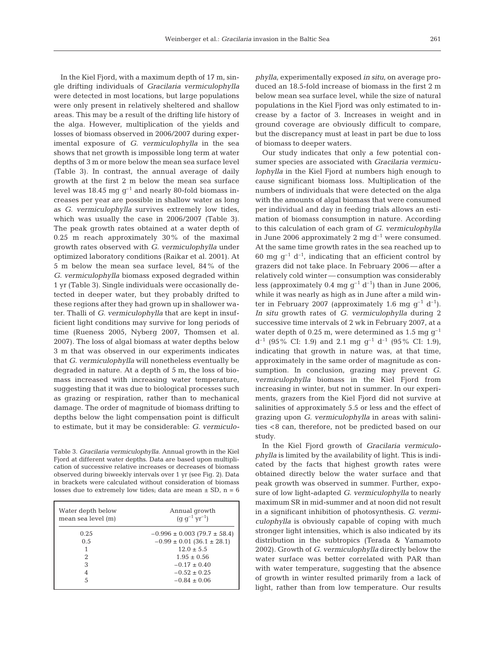In the Kiel Fjord, with a maximum depth of 17 m, single drifting individuals of *Gracilaria vermiculophylla* were detected in most locations, but large populations were only present in relatively sheltered and shallow areas. This may be a result of the drifting life history of the alga. However, multiplication of the yields and losses of biomass observed in 2006/2007 during experimental exposure of *G. vermiculophylla* in the sea shows that net growth is impossible long term at water depths of 3 m or more below the mean sea surface level (Table 3). In contrast, the annual average of daily growth at the first 2 m below the mean sea surface level was 18.45 mg  $g^{-1}$  and nearly 80-fold biomass increases per year are possible in shallow water as long as *G. vermiculophylla* survives extremely low tides, which was usually the case in 2006/2007 (Table 3). The peak growth rates obtained at a water depth of 0.25 m reach approximately 30% of the maximal growth rates observed with *G. vermiculophylla* under optimized laboratory conditions (Raikar et al. 2001). At 5 m below the mean sea surface level, 84% of the *G. vermiculophylla* biomass exposed degraded within 1 yr (Table 3). Single individuals were occasionally detected in deeper water, but they probably drifted to these regions after they had grown up in shallower water. Thalli of *G. vermiculophylla* that are kept in insufficient light conditions may survive for long periods of time (Rueness 2005, Nyberg 2007, Thomsen et al. 2007). The loss of algal biomass at water depths below 3 m that was observed in our experiments indicates that *G. vermiculophylla* will nonetheless eventually be degraded in nature. At a depth of 5 m, the loss of biomass increased with increasing water temperature, suggesting that it was due to biological processes such as grazing or respiration, rather than to mechanical damage. The order of magnitude of biomass drifting to depths below the light compensation point is difficult to estimate, but it may be considerable: *G. vermiculo-*

Table 3. *Gracilaria vermiculophylla.* Annual growth in the Kiel Fjord at different water depths. Data are based upon multiplication of successive relative increases or decreases of biomass observed during biweekly intervals over 1 yr (see Fig. 2). Data in brackets were calculated without consideration of biomass losses due to extremely low tides; data are mean  $\pm$  SD, n = 6

| Water depth below<br>mean sea level (m) | Annual growth<br>$(q q^{-1} yr^{-1})$ |
|-----------------------------------------|---------------------------------------|
| 0.25                                    | $-0.996 \pm 0.003$ (79.7 $\pm$ 58.4)  |
| 0.5                                     | $-0.99 \pm 0.01$ (36.1 $\pm$ 28.1)    |
|                                         | $12.0 \pm 5.5$                        |
| 2                                       | $1.95 \pm 0.56$                       |
| 3                                       | $-0.17 \pm 0.40$                      |
| 4                                       | $-0.52 \pm 0.25$                      |
| 5                                       | $-0.84 \pm 0.06$                      |

*phylla*, experimentally exposed *in situ*, on average produced an 18.5-fold increase of biomass in the first 2 m below mean sea surface level, while the size of natural populations in the Kiel Fjord was only estimated to increase by a factor of 3. Increases in weight and in ground coverage are obviously difficult to compare, but the discrepancy must at least in part be due to loss of biomass to deeper waters.

Our study indicates that only a few potential consumer species are associated with *Gracilaria vermiculophylla* in the Kiel Fjord at numbers high enough to cause significant biomass loss. Multiplication of the numbers of individuals that were detected on the alga with the amounts of algal biomass that were consumed per individual and day in feeding trials allows an estimation of biomass consumption in nature. According to this calculation of each gram of *G. vermiculophylla* in June 2006 approximately 2 mg  $d^{-1}$  were consumed. At the same time growth rates in the sea reached up to 60 mg  $q^{-1}$  d<sup>-1</sup>, indicating that an efficient control by grazers did not take place. In February 2006 — after a relatively cold winter — consumption was considerably less (approximately 0.4 mg  $g^{-1} d^{-1}$ ) than in June 2006, while it was nearly as high as in June after a mild winter in February 2007 (approximately 1.6 mg  $q^{-1}$  d<sup>-1</sup>). *In situ* growth rates of *G. vermiculophylla* during 2 successive time intervals of 2 wk in February 2007, at a water depth of 0.25 m, were determined as 1.5 mg  $q^{-1}$  $d^{-1}$  (95% CI: 1.9) and 2.1 mg  $g^{-1}$   $d^{-1}$  (95% CI: 1.9), indicating that growth in nature was, at that time, approximately in the same order of magnitude as consumption. In conclusion, grazing may prevent *G. vermiculophylla* biomass in the Kiel Fjord from increasing in winter, but not in summer. In our experiments, grazers from the Kiel Fjord did not survive at salinities of approximately 5.5 or less and the effect of grazing upon *G. vermiculophylla* in areas with salinities <8 can, therefore, not be predicted based on our study.

In the Kiel Fjord growth of *Gracilaria vermiculophylla* is limited by the availability of light. This is indicated by the facts that highest growth rates were obtained directly below the water surface and that peak growth was observed in summer. Further, exposure of low light-adapted *G. vermiculophylla* to nearly maximum SR in mid-summer and at noon did not result in a significant inhibition of photosynthesis. *G. vermiculophylla* is obviously capable of coping with much stronger light intensities, which is also indicated by its distribution in the subtropics (Terada & Yamamoto 2002). Growth of *G. vermiculophylla* directly below the water surface was better correlated with PAR than with water temperature, suggesting that the absence of growth in winter resulted primarily from a lack of light, rather than from low temperature. Our results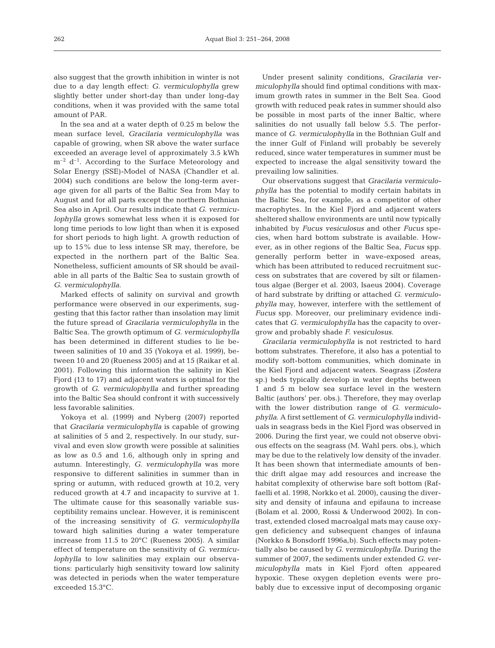also suggest that the growth inhibition in winter is not due to a day length effect: *G. vermiculophylla* grew slightly better under short-day than under long-day conditions, when it was provided with the same total amount of PAR.

In the sea and at a water depth of 0.25 m below the mean surface level, *Gracilaria vermiculophylla* was capable of growing, when SR above the water surface exceeded an average level of approximately 3.5 kWh  $m^{-2}$  d<sup>-1</sup>. According to the Surface Meteorology and Solar Energy (SSE)-Model of NASA (Chandler et al. 2004) such conditions are below the long-term average given for all parts of the Baltic Sea from May to August and for all parts except the northern Bothnian Sea also in April. Our results indicate that *G. vermiculophylla* grows somewhat less when it is exposed for long time periods to low light than when it is exposed for short periods to high light. A growth reduction of up to 15% due to less intense SR may, therefore, be expected in the northern part of the Baltic Sea. Nonetheless, sufficient amounts of SR should be available in all parts of the Baltic Sea to sustain growth of *G. vermiculophylla*.

Marked effects of salinity on survival and growth performance were observed in our experiments, suggesting that this factor rather than insolation may limit the future spread of *Gracilaria vermiculophylla* in the Baltic Sea. The growth optimum of *G. vermiculophylla* has been determined in different studies to lie between salinities of 10 and 35 (Yokoya et al. 1999), between 10 and 20 (Rueness 2005) and at 15 (Raikar et al. 2001). Following this information the salinity in Kiel Fjord (13 to 17) and adjacent waters is optimal for the growth of *G. vermiculophylla* and further spreading into the Baltic Sea should confront it with successively less favorable salinities.

Yokoya et al. (1999) and Nyberg (2007) reported that *Gracilaria vermiculophylla* is capable of growing at salinities of 5 and 2, respectively. In our study, survival and even slow growth were possible at salinities as low as 0.5 and 1.6, although only in spring and autumn. Interestingly, *G. vermiculophylla* was more responsive to different salinities in summer than in spring or autumn, with reduced growth at 10.2, very reduced growth at 4.7 and incapacity to survive at 1. The ultimate cause for this seasonally variable susceptibility remains unclear. However, it is reminiscent of the increasing sensitivity of *G. vermiculophylla* toward high salinities during a water temperature increase from 11.5 to 20°C (Rueness 2005). A similar effect of temperature on the sensitivity of *G. vermiculophylla* to low salinities may explain our observations: particularly high sensitivity toward low salinity was detected in periods when the water temperature exceeded 15.3°C.

Under present salinity conditions, *Gracilaria vermiculophylla* should find optimal conditions with maximum growth rates in summer in the Belt Sea. Good growth with reduced peak rates in summer should also be possible in most parts of the inner Baltic, where salinities do not usually fall below 5.5. The performance of *G. vermiculophylla* in the Bothnian Gulf and the inner Gulf of Finland will probably be severely reduced, since water temperatures in summer must be expected to increase the algal sensitivity toward the prevailing low salinities.

Our observations suggest that *Gracilaria vermiculophylla* has the potential to modify certain habitats in the Baltic Sea, for example, as a competitor of other macrophytes. In the Kiel Fjord and adjacent waters sheltered shallow environments are until now typically inhabited by *Fucus vesiculosus* and other *Fucus* species, when hard bottom substrate is available. However, as in other regions of the Baltic Sea, *Fucus* spp. generally perform better in wave-exposed areas, which has been attributed to reduced recruitment success on substrates that are covered by silt or filamentous algae (Berger et al. 2003, Isaeus 2004). Coverage of hard substrate by drifting or attached *G. vermiculophylla* may, however, interfere with the settlement of *Fucus* spp. Moreover, our preliminary evidence indicates that *G. vermiculophylla* has the capacity to overgrow and probably shade *F. vesiculosus*.

*Gracilaria vermiculophylla* is not restricted to hard bottom substrates. Therefore, it also has a potential to modify soft-bottom communities, which dominate in the Kiel Fjord and adjacent waters. Seagrass (*Zostera* sp.) beds typically develop in water depths between 1 and 5 m below sea surface level in the western Baltic (authors' per. obs.). Therefore, they may overlap with the lower distribution range of *G. vermiculophylla*. A first settlement of *G. vermiculophylla* individuals in seagrass beds in the Kiel Fjord was observed in 2006. During the first year, we could not observe obvious effects on the seagrass (M. Wahl pers. obs.), which may be due to the relatively low density of the invader. It has been shown that intermediate amounts of benthic drift algae may add resources and increase the habitat complexity of otherwise bare soft bottom (Raffaelli et al. 1998, Norkko et al. 2000), causing the diversity and density of infauna and epifauna to increase (Bolam et al. 2000, Rossi & Underwood 2002). In contrast, extended closed macroalgal mats may cause oxygen deficiency and subsequent changes of infauna (Norkko & Bonsdorff 1996a,b). Such effects may potentially also be caused by *G. vermiculophylla*. During the summer of 2007, the sediments under extended *G. vermiculophylla* mats in Kiel Fjord often appeared hypoxic. These oxygen depletion events were probably due to excessive input of decomposing organic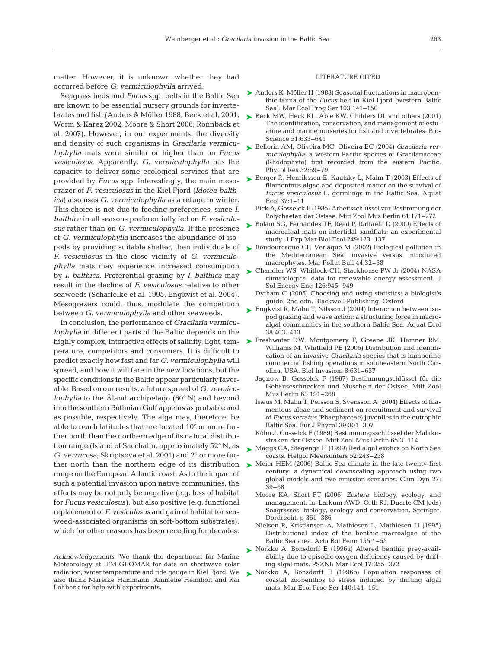matter. However, it is unknown whether they had occurred before *G. vermiculophylla* arrived.

Seagrass beds and *Fucus* spp. belts in the Baltic Sea are known to be essential nursery grounds for invertebrates and fish (Anders & Möller 1988, Beck et al. 2001, Worm & Karez 2002, Moore & Short 2006, Rönnbäck et al. 2007). However, in our experiments, the diversity and density of such organisms in *Gracilaria vermiculophylla* mats were similar or higher than on *Fucus vesiculosus*. Apparently, *G. vermiculophylla* has the capacity to deliver some ecological services that are provided by *Fucus* spp. Interestingly, the main mesograzer of *F. vesiculosus* in the Kiel Fjord (*Idotea balthica*) also uses *G. vermiculophylla* as a refuge in winter. This choice is not due to feeding preferences, since *I. balthica* in all seasons preferentially fed on *F. vesiculosus* rather than on *G. vermiculophylla*. If the presence of *G. vermiculophylla* increases the abundance of isopods by providing suitable shelter, then individuals of *F. vesiculosus* in the close vicinity of *G. vermiculophylla* mats may experience increased consumption by *I. balthica*. Preferential grazing by *I. balthica* may result in the decline of *F. vesiculosus* relative to other seaweeds (Schaffelke et al. 1995, Engkvist et al. 2004). Mesograzers could, thus, modulate the competition between *G. vermiculophylla* and other seaweeds.

In conclusion, the performance of *Gracilaria vermiculophylla* in different parts of the Baltic depends on the perature, competitors and consumers. It is difficult to predict exactly how fast and far *G. vermiculophylla* will spread, and how it will fare in the new locations, but the specific conditions in the Baltic appear particularly favorable. Based on our results, a future spread of *G. vermiculophylla* to the Åland archipelago (60° N) and beyond into the southern Bothnian Gulf appears as probable and as possible, respectively. The alga may, therefore, be able to reach latitudes that are located 10° or more further north than the northern edge of its natural distribution range (Island of Sacchalin, approximately 52° N, as *G. verrucosa*; Skriptsova et al. 2001) and 2° or more furrange on the European Atlantic coast. As to the impact of such a potential invasion upon native communities, the effects may be not only be negative (e.g. loss of habitat for *Fucus vesiculosus)*, but also positive (e.g. functional replacement of *F. vesiculosus* and gain of habitat for seaweed-associated organisms on soft-bottom substrates), which for other reasons has been receding for decades.

*Acknowledgements.* We thank the department for Marine Meteorology at IFM-GEOMAR for data on shortwave solar radiation, water temperature and tide gauge in Kiel Fjord. We also thank Mareike Hammann, Ammelie Heimholt and Kai Lohbeck for help with experiments.

#### LITERATURE CITED

- ▶ Anders K, Möller H (1988) Seasonal fluctuations in macrobenthic fauna of the *Fucus* belt in Kiel Fjord (western Baltic Sea). Mar Ecol Prog Ser 103:141–150
- ► Beck MW, Heck KL, Able KW, Childers DL and others (2001) The identification, conservation, and management of estuarine and marine nurseries for fish and invertebrates. Bio-Science 51:633–641
- Bellorin AM, Oliveira MC, Oliveira EC (2004) *Gracilaria ver-*➤ *miculophylla*: a western Pacific species of Gracilariaceae (Rhodophyta) first recorded from the eastern Pacific. Phycol Res 52:69–79
- ► Berger R, Henriksson E, Kautsky L, Malm T (2003) Effects of filamentous algae and deposited matter on the survival of *Fucus vesiculosus* L. germlings in the Baltic Sea. Aquat Ecol 37:1–11
	- Bick A, Gosselck F (1985) Arbeitsschlüssel zur Bestimmung der Polychaeten der Ostsee. Mitt Zool Mus Berlin 61:171–272
- ► Bolam SG, Fernandes TF, Read P, Raffaelli D (2000) Effects of macroalgal mats on intertidal sandflats: an experimental study. J Exp Mar Biol Ecol 249:123–137
- ► Boudouresque CF, Verlaque M (2002) Biological pollution in the Mediterranean Sea: invasive versus introduced macrophytes. Mar Pollut Bull 44:32–38
- ► Chandler WS, Whitlock CH, Stackhouse PW Jr (2004) NASA climatological data for renewable energy assessment. J Sol Energy Eng 126:945–949
	- Dytham C (2005) Choosing and using statistics: a biologist's guide, 2nd edn. Blackwell Publishing, Oxford
- ► Engkvist R, Malm T, Nilsson J (2004) Interaction between isopod grazing and wave action: a structuring force in macroalgal communities in the southern Baltic Sea. Aquat Ecol 38:403–413
- highly complex, interactive effects of salinity, light, tem-  $\blacktriangleright$  Freshwater DW, Montgomery F, Greene JK, Hamner RM, Williams M, Whitfield PE (2006) Distribution and identification of an invasive *Gracilaria* species that is hampering commercial fishing operations in southeastern North Carolina, USA. Biol Invasiom 8:631–637
	- Jagnow B, Gosselck F (1987) Bestimmungschlüssel für die Gehäuseschnecken und Muscheln der Ostsee. Mitt Zool Mus Berlin 63:191–268
	- Isæus M, Malm T, Persson S, Svensson A (2004) Effects of filamentous algae and sediment on recruitment and survival of *Fucus serratus* (Phaephyceae) juveniles in the eutrophic Baltic Sea. Eur J Phycol 39:301–307
	- Köhn J, Gosselck F (1989) Bestimmungsschlüssel der Malakostraken der Ostsee. Mitt Zool Mus Berlin 65:3–114
	- ► Maggs CA, Stegenga H (1999) Red algal exotics on North Sea coasts. Helgol Meersunters 52:243–258
- ther north than the northern edge of its distribution  $\triangleright$  Meier HEM (2006) Baltic Sea climate in the late twenty-first century: a dynamical downscaling approach using two global models and two emission scenarios. Clim Dyn 27: 39–68
	- Moore KA, Short FT (2006) *Zostera*: biology, ecology, and management. In: Larkum AWD, Orth RJ, Duarte CM (eds) Seagrasses: biology, ecology and conservation. Springer, Dordrecht, p 361–386
	- Nielsen R, Kristiansen A, Mathiesen L, Mathiesen H (1995) Distributional index of the benthic macroalgae of the Baltic Sea area. Acta Bot Fenn 155:1–55
	- ► Norkko A, Bonsdorff E (1996a) Altered benthic prey-availability due to episodic oxygen deficiency caused by drifting algal mats. PSZNI: Mar Ecol 17:355–372
	- ▶ Norkko A, Bonsdorff E (1996b) Population responses of coastal zoobenthos to stress induced by drifting algal mats. Mar Ecol Prog Ser 140:141–151